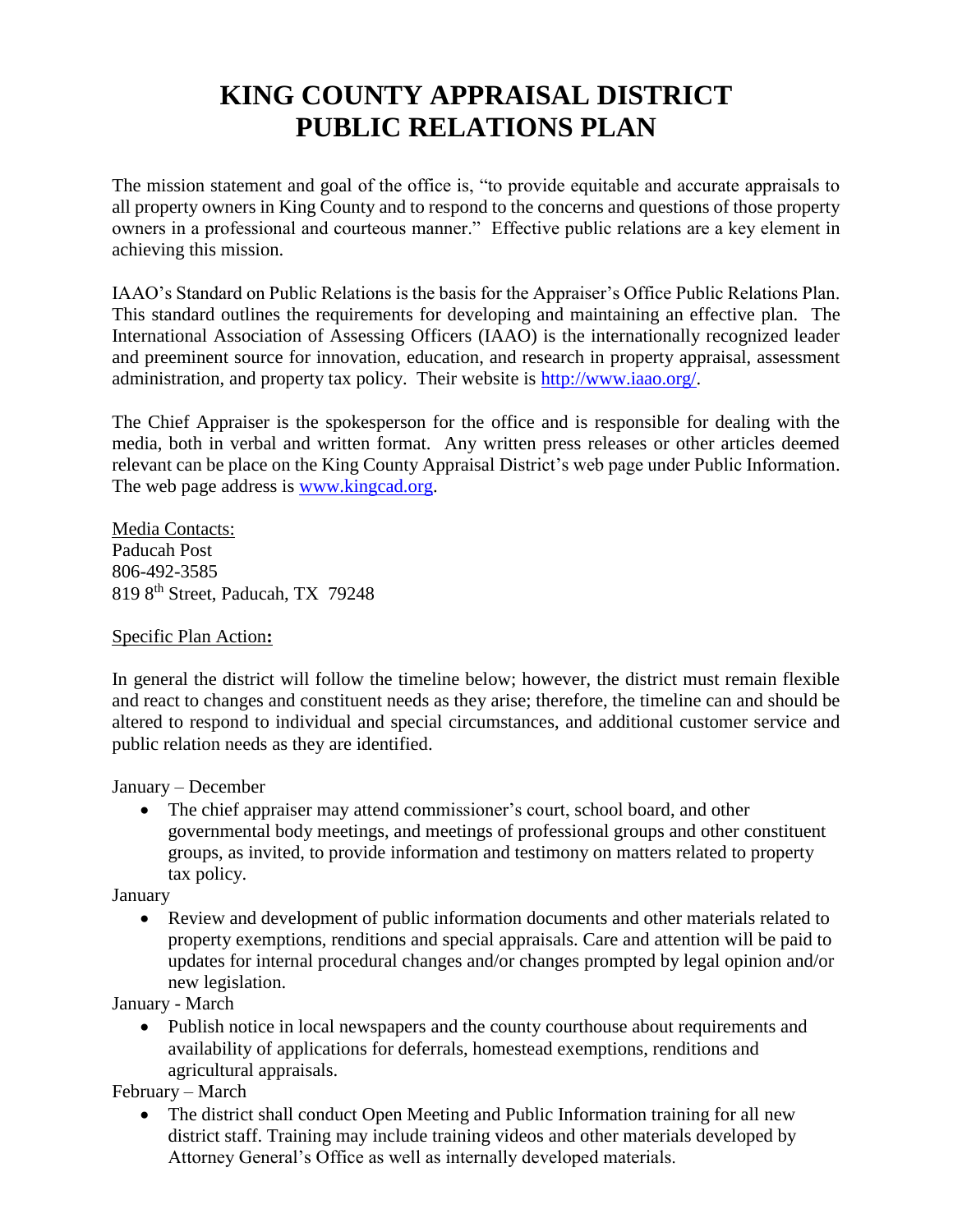## **KING COUNTY APPRAISAL DISTRICT PUBLIC RELATIONS PLAN**

The mission statement and goal of the office is, "to provide equitable and accurate appraisals to all property owners in King County and to respond to the concerns and questions of those property owners in a professional and courteous manner." Effective public relations are a key element in achieving this mission.

IAAO's Standard on Public Relations is the basis for the Appraiser's Office Public Relations Plan. This standard outlines the requirements for developing and maintaining an effective plan. The International Association of Assessing Officers (IAAO) is the internationally recognized leader and preeminent source for innovation, education, and research in property appraisal, assessment administration, and property tax policy. Their website is [http://www.iaao.org/.](http://www.iaao.org/)

The Chief Appraiser is the spokesperson for the office and is responsible for dealing with the media, both in verbal and written format. Any written press releases or other articles deemed relevant can be place on the King County Appraisal District's web page under Public Information. The web page address is [www.kingcad.org.](http://www.kingcad.org/)

Media Contacts: Paducah Post 806-492-3585 819 8th Street, Paducah, TX 79248

## Specific Plan Action**:**

In general the district will follow the timeline below; however, the district must remain flexible and react to changes and constituent needs as they arise; therefore, the timeline can and should be altered to respond to individual and special circumstances, and additional customer service and public relation needs as they are identified.

## January – December

• The chief appraiser may attend commissioner's court, school board, and other governmental body meetings, and meetings of professional groups and other constituent groups, as invited, to provide information and testimony on matters related to property tax policy.

January

 Review and development of public information documents and other materials related to property exemptions, renditions and special appraisals. Care and attention will be paid to updates for internal procedural changes and/or changes prompted by legal opinion and/or new legislation.

January - March

• Publish notice in local newspapers and the county courthouse about requirements and availability of applications for deferrals, homestead exemptions, renditions and agricultural appraisals.

## February – March

• The district shall conduct Open Meeting and Public Information training for all new district staff. Training may include training videos and other materials developed by Attorney General's Office as well as internally developed materials.